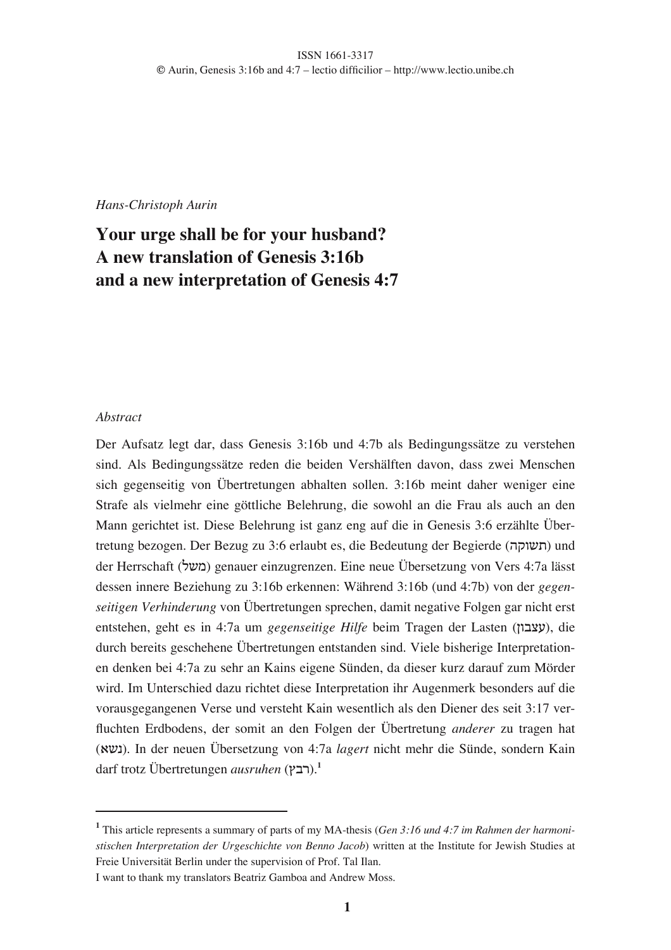*Hans-Christoph Aurin*

# **Your urge shall be for your husband? A new translation of Genesis 3:16b and a new interpretation of Genesis 4:7**

### *Abstract*

Der Aufsatz legt dar, dass Genesis 3:16b und 4:7b als Bedingungssätze zu verstehen sind. Als Bedingungssätze reden die beiden Vershälften davon, dass zwei Menschen sich gegenseitig von Übertretungen abhalten sollen. 3:16b meint daher weniger eine Strafe als vielmehr eine göttliche Belehrung, die sowohl an die Frau als auch an den Mann gerichtet ist. Diese Belehrung ist ganz eng auf die in Genesis 3:6 erzählte Übertretung bezogen. Der Bezug zu 3:6 erlaubt es, die Bedeutung der Begierde (תשוקה) und der Herrschaft (משל) genauer einzugrenzen. Eine neue Übersetzung von Vers 4:7a lässt dessen innere Beziehung zu 3:16b erkennen: Während 3:16b (und 4:7b) von der *gegenseitigen Verhinderung* von Übertretungen sprechen, damit negative Folgen gar nicht erst entstehen, geht es in 4:7a um *gegenseitige Hilfe* beim Tragen der Lasten (עצבון), die durch bereits geschehene Übertretungen entstanden sind. Viele bisherige Interpretationen denken bei 4:7a zu sehr an Kains eigene Sünden, da dieser kurz darauf zum Mörder wird. Im Unterschied dazu richtet diese Interpretation ihr Augenmerk besonders auf die vorausgegangenen Verse und versteht Kain wesentlich als den Diener des seit 3:17 verfluchten Erdbodens, der somit an den Folgen der Übertretung *anderer* zu tragen hat (,\$-). In der neuen Übersetzung von 4:7a *lagert* nicht mehr die Sünde, sondern Kain darf trotz Übertretungen *ausruhen* (רבץ).<sup>1</sup>

**<sup>1</sup>** This article represents a summary of parts of my MA-thesis (*Gen 3:16 und 4:7 im Rahmen der harmonistischen Interpretation der Urgeschichte von Benno Jacob*) written at the Institute for Jewish Studies at Freie Universität Berlin under the supervision of Prof. Tal Ilan.

I want to thank my translators Beatriz Gamboa and Andrew Moss.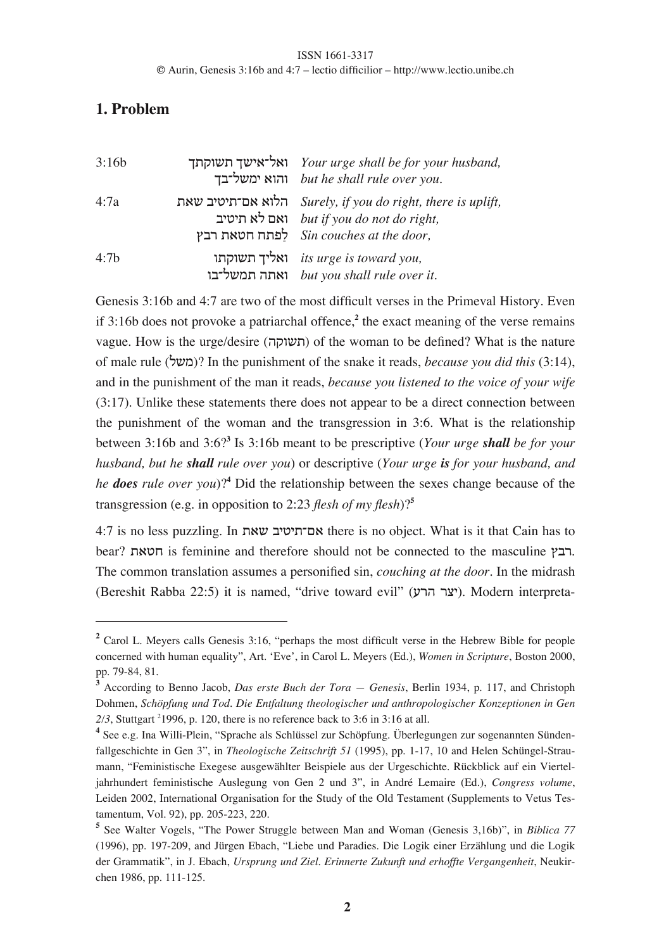## **1. Problem**

| 3:16b            | ואל־אישך תשוקתך Your urge shall be for your husband,<br>והוא ימשל־בך but he shall rule over you.                                                  |
|------------------|---------------------------------------------------------------------------------------------------------------------------------------------------|
| 4:7a             | הלוא אם־תיטיב שאת Surely, if you do right, there is uplift,<br>ואם לא תיטיב but if you do not do right,<br>לפתח חטאת רבץ Sin couches at the door, |
| 4:7 <sub>b</sub> | its urge is toward you,<br>ואתה תמשל־בו but you shall rule over it.                                                                               |

Genesis 3:16b and 4:7 are two of the most difficult verses in the Primeval History. Even if 3:16b does not provoke a patriarchal offence,**<sup>2</sup>** the exact meaning of the verse remains vague. How is the urge/desire (!"#\$%) of the woman to be defined? What is the nature of male rule (&\$')? In the punishment of the snake it reads, *because you did this* (3:14), and in the punishment of the man it reads, *because you listened to the voice of your wife* (3:17). Unlike these statements there does not appear to be a direct connection between the punishment of the woman and the transgression in 3:6. What is the relationship between 3:16b and 3:6?**<sup>3</sup>** Is 3:16b meant to be prescriptive (*Your urge shall be for your husband, but he shall rule over you*) or descriptive (*Your urge is for your husband, and he does rule over you*)?**<sup>4</sup>** Did the relationship between the sexes change because of the transgression (e.g. in opposition to 2:23 *flesh of my flesh*)?**<sup>5</sup>**

4:7 is no less puzzling. In %,\$ )131%24, there is no object. What is it that Cain has to bear? הבץ is feminine and therefore should not be connected to the masculine . The common translation assumes a personified sin, *couching at the door*. In the midrash (Bereshit Rabba 22:5) it is named, "drive toward evil" (יצר הרע). Modern interpreta-

**<sup>2</sup>** Carol L. Meyers calls Genesis 3:16, "perhaps the most difficult verse in the Hebrew Bible for people concerned with human equality", Art. 'Eve', in Carol L. Meyers (Ed.), *Women in Scripture*, Boston 2000, pp. 79-84, 81.

**<sup>3</sup>** According to Benno Jacob, *Das erste Buch der Tora — Genesis*, Berlin 1934, p. 117, and Christoph Dohmen, *Schöpfung und Tod. Die Entfaltung theologischer und anthropologischer Konzeptionen in Gen*  $2/3$ , Stuttgart <sup>2</sup>1996, p. 120, there is no reference back to 3:6 in 3:16 at all.

**<sup>4</sup>** See e.g. Ina Willi-Plein, "Sprache als Schlüssel zur Schöpfung. Überlegungen zur sogenannten Sündenfallgeschichte in Gen 3", in *Theologische Zeitschrift 51* (1995), pp. 1-17, 10 and Helen Schüngel-Straumann, "Feministische Exegese ausgewählter Beispiele aus der Urgeschichte. Rückblick auf ein Vierteljahrhundert feministische Auslegung von Gen 2 und 3", in André Lemaire (Ed.), *Congress volume*, Leiden 2002, International Organisation for the Study of the Old Testament (Supplements to Vetus Testamentum, Vol. 92), pp. 205-223, 220.

**<sup>5</sup>** See Walter Vogels, "The Power Struggle between Man and Woman (Genesis 3,16b)", in *Biblica 77* (1996), pp. 197-209, and Jürgen Ebach, "Liebe und Paradies. Die Logik einer Erzählung und die Logik der Grammatik", in J. Ebach, *Ursprung und Ziel. Erinnerte Zukunft und erhoffte Vergangenheit*, Neukirchen 1986, pp. 111-125.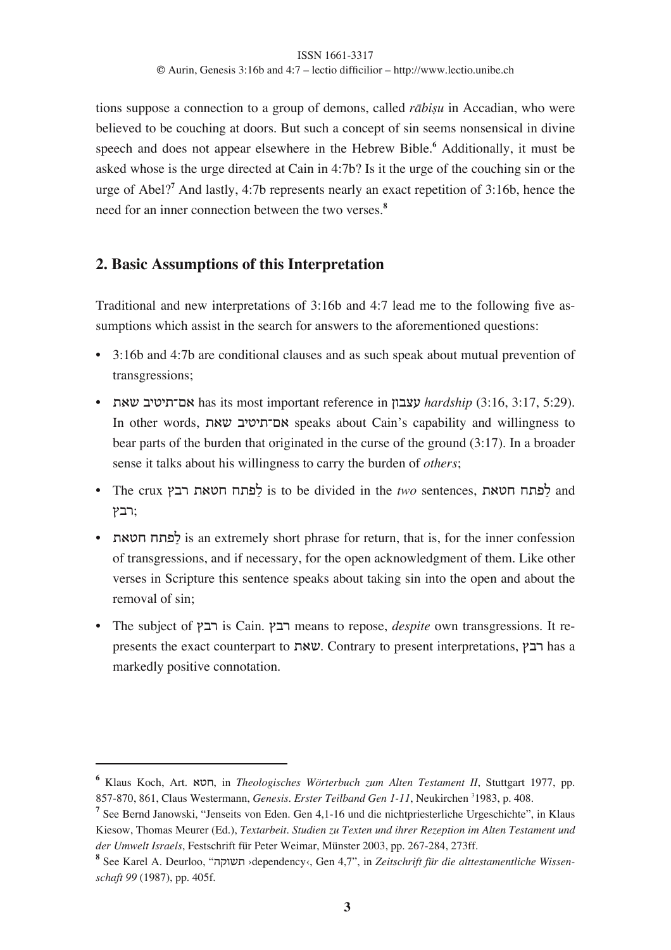tions suppose a connection to a group of demons, called *rābisu* in Accadian, who were believed to be couching at doors. But such a concept of sin seems nonsensical in divine speech and does not appear elsewhere in the Hebrew Bible.**<sup>6</sup>** Additionally, it must be asked whose is the urge directed at Cain in 4:7b? Is it the urge of the couching sin or the urge of Abel?**<sup>7</sup>** And lastly, 4:7b represents nearly an exact repetition of 3:16b, hence the need for an inner connection between the two verses.**<sup>8</sup>**

## **2. Basic Assumptions of this Interpretation**

Traditional and new interpretations of 3:16b and 4:7 lead me to the following five assumptions which assist in the search for answers to the aforementioned questions:

- **•** 3:16b and 4:7b are conditional clauses and as such speak about mutual prevention of transgressions;
- **•** %,\$ )131%24, has its most important reference in (#)\*+ *hardship* (3:16, 3:17, 5:29). In other words, %,\$ )131%24, speaks about Cain's capability and willingness to bear parts of the burden that originated in the curse of the ground (3:17). In a broader sense it talks about his willingness to carry the burden of *others*;
- **•** The crux .)/ %,35 5%6&7 is to be divided in the *two* sentences, %,35 5%6&7 and רבץ:
- **•** %,35 5%6&7 is an extremely short phrase for return, that is, for the inner confession of transgressions, and if necessary, for the open acknowledgment of them. Like other verses in Scripture this sentence speaks about taking sin into the open and about the removal of sin;
- **•** The subject of .)/ is Cain. .)/ means to repose, *despite* own transgressions. It represents the exact counterpart to  $w$ את. Contrary to present interpretations,  $\gamma$ ה has a markedly positive connotation.

**<sup>6</sup>** Klaus Koch, Art. ,35, in *Theologisches Wörterbuch zum Alten Testament II*, Stuttgart 1977, pp. 857-870, 861, Claus Westermann, *Genesis. Erster Teilband Gen 1-11*, Neukirchen <sup>3</sup>1983, p. 408.

**<sup>7</sup>** See Bernd Janowski, "Jenseits von Eden. Gen 4,1-16 und die nichtpriesterliche Urgeschichte", in Klaus Kiesow, Thomas Meurer (Ed.), *Textarbeit. Studien zu Texten und ihrer Rezeption im Alten Testament und der Umwelt Israels*, Festschrift für Peter Weimar, Münster 2003, pp. 267-284, 273ff.

**<sup>8</sup>** See Karel A. Deurloo, "!"#\$% ›dependency‹, Gen 4,7", in *Zeitschrift für die alttestamentliche Wissenschaft 99* (1987), pp. 405f.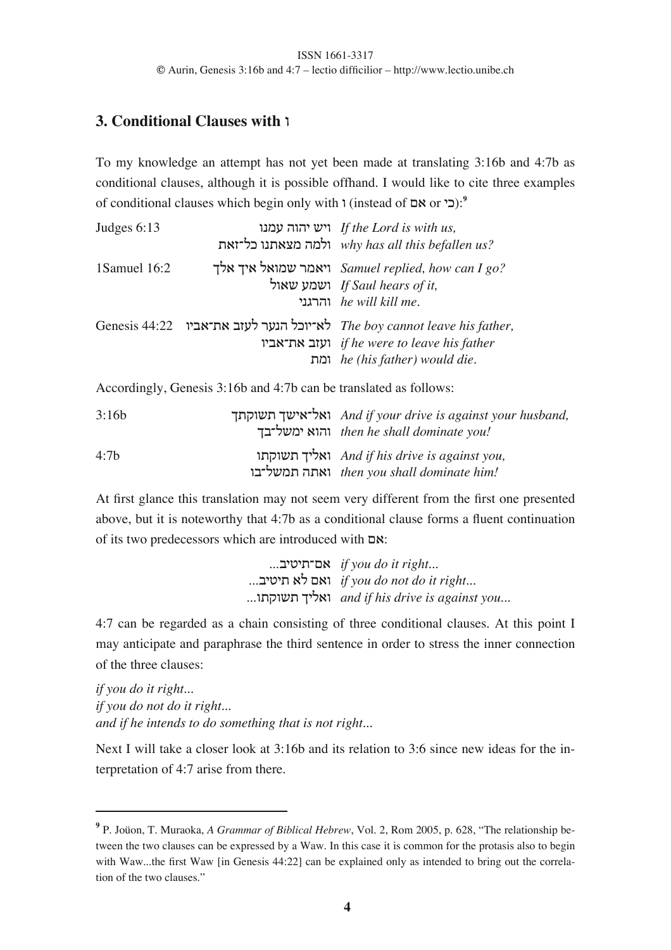## **3. Conditional Clauses with 1**

To my knowledge an attempt has not yet been made at translating 3:16b and 4:7b as conditional clauses, although it is possible offhand. I would like to cite three examples of conditional clauses which begin only with # (instead of 4, or 18):**<sup>9</sup>**

| Judges 6:13  | ויש יהוה עמנו If the Lord is with us,<br>why has all this befallen us?<br>ילמה מצאתנו כל־זאת                                                              |
|--------------|-----------------------------------------------------------------------------------------------------------------------------------------------------------|
| 1Samuel 16:2 | ויאמר שמואל איך אלך Samuel replied, how can I go?<br>ישמע שאול If Saul hears of it,<br>$he$ will kill me.                                                 |
|              | Genesis 44:22 לא־יוכל הנער לעזב את־אביו The boy cannot leave his father,<br>ועזב את־אביו if he were to leave his father<br>ומת he (his father) would die. |

Accordingly, Genesis 3:16b and 4:7b can be translated as follows:

| 3:16b            | ואל־אישך תשוקתך And if your drive is against your husband,<br>והוא ימשל־בך then he shall dominate you! |
|------------------|--------------------------------------------------------------------------------------------------------|
| 4:7 <sub>b</sub> | ואליך תשוקתו And if his drive is against you,<br>then you shall dominate him!<br>נאתה תמשל־בו          |

At first glance this translation may not seem very different from the first one presented above, but it is noteworthy that 4:7b as a conditional clause forms a fluent continuation of its two predecessors which are introduced with  $\infty$ :

> ...)131%24, *if you do it right...* ...)131% ,& 4,# *if you do not do it right...* ...#%"#\$% 01&,# *and if his drive is against you...*

4:7 can be regarded as a chain consisting of three conditional clauses. At this point I may anticipate and paraphrase the third sentence in order to stress the inner connection of the three clauses:

*if you do it right... if you do not do it right... and if he intends to do something that is not right...*

Next I will take a closer look at 3:16b and its relation to 3:6 since new ideas for the interpretation of 4:7 arise from there.

**<sup>9</sup>** P. Joüon, T. Muraoka, *A Grammar of Biblical Hebrew*, Vol. 2, Rom 2005, p. 628, "The relationship between the two clauses can be expressed by a Waw. In this case it is common for the protasis also to begin with Waw...the first Waw [in Genesis 44:22] can be explained only as intended to bring out the correlation of the two clauses."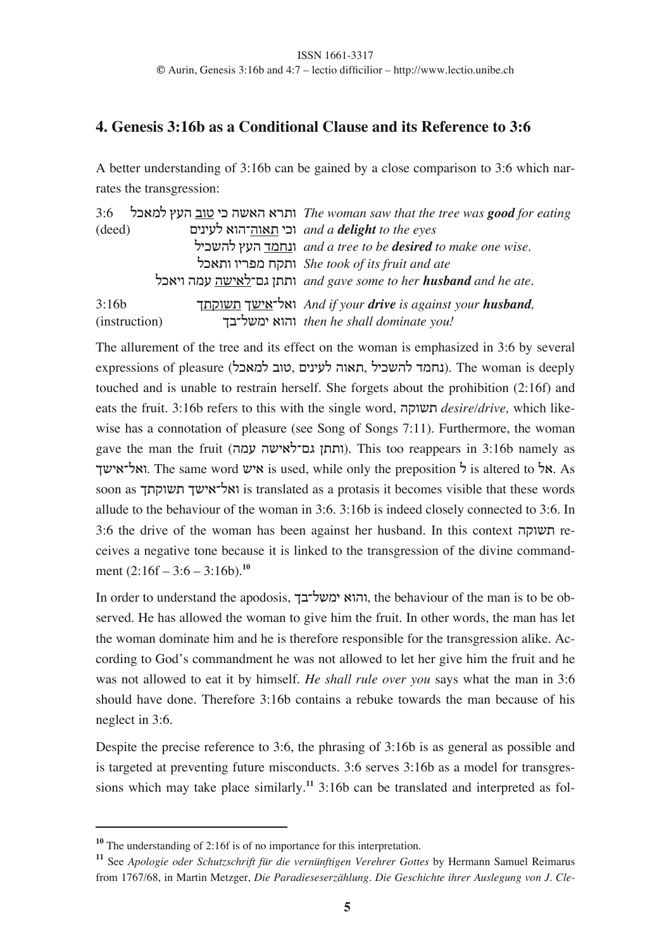## **4. Genesis 3:16b as a Conditional Clause and its Reference to 3:6**

A better understanding of 3:16b can be gained by a close comparison to 3:6 which narrates the transgression:

3:6 &8,'& .+! )#3 18 !\$,! ,/%# *The woman saw that the tree was good for eating* (deed) 41-1+& ,#!2!#,% 18# *and a delight to the eyes* &18\$!& .+! ;'5-# *and a tree to be desired to make one wise*. &8,%# #1/6' 5"%# *She took of its fruit and ate* &8,1# !'+ !\$1,&24: (%%# *and gave some to her husband and he ate.* 3:16b 0%"#\$% 0\$1,2&,# *And if your drive is against your husband,* (instruction) 0)2&\$'1 ,#!# *then he shall dominate you!*

The allurement of the tree and its effect on the woman is emphasized in 3:6 by several expressions of pleasure (למאכל), ונחמד להשכיל, האוה לעינים). The woman is deeply touched and is unable to restrain herself. She forgets about the prohibition (2:16f) and eats the fruit. 3:16b refers to this with the single word, !"#\$% *desire/drive,* which likewise has a connotation of pleasure (see Song of Songs 7:11). Furthermore, the woman gave the man the fruit (ותתן גם־לאישה עמה). This too reappears in 3:16b namely as אל־אישך. The same word  $\boldsymbol{\kappa}$  is used, while only the preposition  $\boldsymbol{\kappa}$  is altered to  $\boldsymbol{\kappa}$ . As soon as ואל־אישך תשוקתך is translated as a protasis it becomes visible that these words allude to the behaviour of the woman in 3:6. 3:16b is indeed closely connected to 3:6. In 3:6 the drive of the woman has been against her husband. In this context תשוקה  $re$ ceives a negative tone because it is linked to the transgression of the divine commandment (2:16f – 3:6 – 3:16b).**<sup>10</sup>**

In order to understand the apodosis, והוא ימשל־בך, the behaviour of the man is to be observed. He has allowed the woman to give him the fruit. In other words, the man has let the woman dominate him and he is therefore responsible for the transgression alike. According to God's commandment he was not allowed to let her give him the fruit and he was not allowed to eat it by himself. *He shall rule over you* says what the man in 3:6 should have done. Therefore 3:16b contains a rebuke towards the man because of his neglect in 3:6.

Despite the precise reference to 3:6, the phrasing of 3:16b is as general as possible and is targeted at preventing future misconducts. 3:6 serves 3:16b as a model for transgressions which may take place similarly.**<sup>11</sup>** 3:16b can be translated and interpreted as fol-

**<sup>10</sup>** The understanding of 2:16f is of no importance for this interpretation.

**<sup>11</sup>** See *Apologie oder Schutzschrift für die vernünftigen Verehrer Gottes* by Hermann Samuel Reimarus from 1767/68, in Martin Metzger, *Die Paradieseserzählung. Die Geschichte ihrer Auslegung von J. Cle-*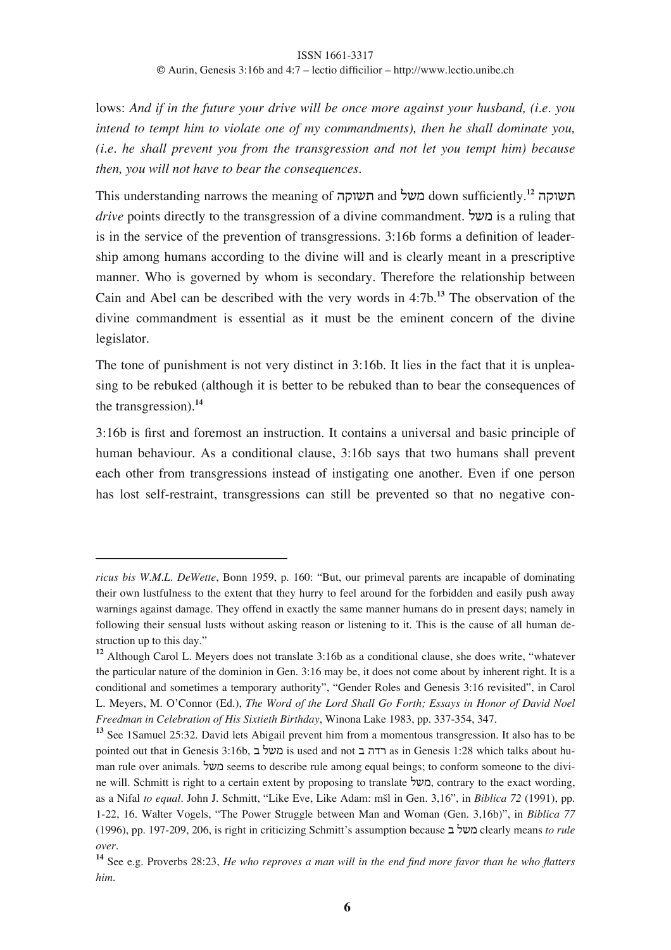lows: *And if in the future your drive will be once more against your husband, (i.e. you intend to tempt him to violate one of my commandments), then he shall dominate you, (i.e. he shall prevent you from the transgression and not let you tempt him) because then, you will not have to bear the consequences.*

This understanding narrows the meaning of **השוקה** and **' and משל** down sufficiently.<sup>12</sup> *drive* points directly to the transgression of a divine commandment. **מעל** is a ruling that is in the service of the prevention of transgressions. 3:16b forms a definition of leadership among humans according to the divine will and is clearly meant in a prescriptive manner. Who is governed by whom is secondary. Therefore the relationship between Cain and Abel can be described with the very words in 4:7b.**<sup>13</sup>** The observation of the divine commandment is essential as it must be the eminent concern of the divine legislator.

The tone of punishment is not very distinct in 3:16b. It lies in the fact that it is unpleasing to be rebuked (although it is better to be rebuked than to bear the consequences of the transgression).**<sup>14</sup>**

3:16b is first and foremost an instruction. It contains a universal and basic principle of human behaviour. As a conditional clause, 3:16b says that two humans shall prevent each other from transgressions instead of instigating one another. Even if one person has lost self-restraint, transgressions can still be prevented so that no negative con-

*ricus bis W.M.L. DeWette*, Bonn 1959, p. 160: "But, our primeval parents are incapable of dominating their own lustfulness to the extent that they hurry to feel around for the forbidden and easily push away warnings against damage. They offend in exactly the same manner humans do in present days; namely in following their sensual lusts without asking reason or listening to it. This is the cause of all human destruction up to this day."

**<sup>12</sup>** Although Carol L. Meyers does not translate 3:16b as a conditional clause, she does write, "whatever the particular nature of the dominion in Gen. 3:16 may be, it does not come about by inherent right. It is a conditional and sometimes a temporary authority", "Gender Roles and Genesis 3:16 revisited", in Carol L. Meyers, M. O'Connor (Ed.), *The Word of the Lord Shall Go Forth; Essays in Honor of David Noel Freedman in Celebration of His Sixtieth Birthday*, Winona Lake 1983, pp. 337-354, 347.

**<sup>13</sup>** See 1Samuel 25:32. David lets Abigail prevent him from a momentous transgression. It also has to be pointed out that in Genesis 3:16b, ודה ב is used and not רדה ב as in Genesis 1:28 which talks about human rule over animals. &\$' seems to describe rule among equal beings; to conform someone to the divine will. Schmitt is right to a certain extent by proposing to translate ', משל, contrary to the exact wording, as a Nifal *to equal*. John J. Schmitt, "Like Eve, Like Adam: mšl in Gen. 3,16", in *Biblica* 72 (1991), pp. 1-22, 16. Walter Vogels, "The Power Struggle between Man and Woman (Gen. 3,16b)", in *Biblica 77* (1996), pp. 197-209, 206, is right in criticizing Schmitt's assumption because ) &\$' clearly means *to rule over*.

**<sup>14</sup>** See e.g. Proverbs 28:23, *He who reproves a man will in the end find more favor than he who flatters him.*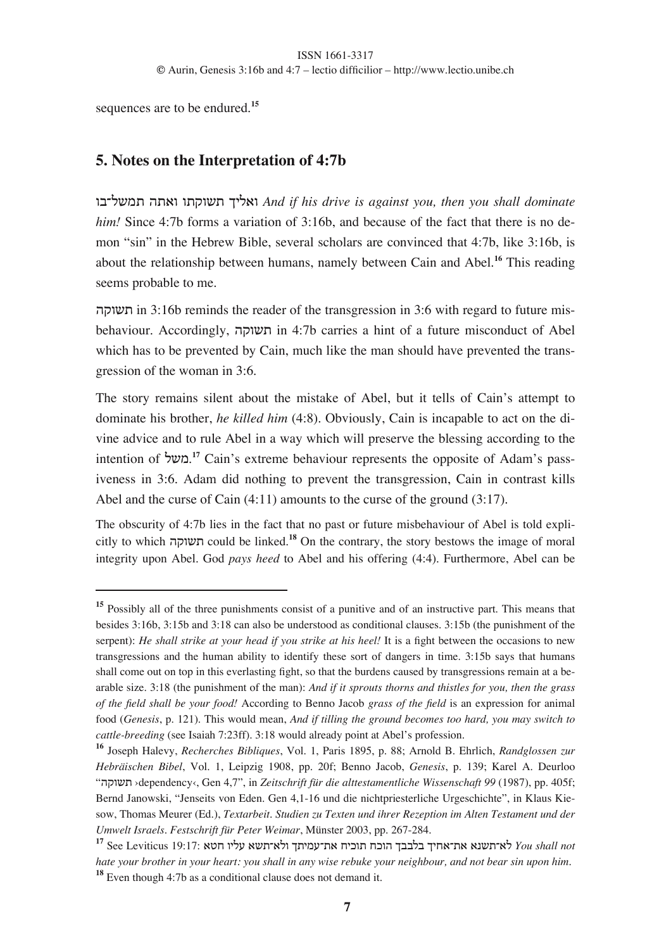sequences are to be endured.**<sup>15</sup>**

## **5. Notes on the Interpretation of 4:7b**

#)2&\$'% !%,# #%"#\$% 01&,# *And if his drive is against you, then you shall dominate him!* Since 4:7b forms a variation of 3:16b, and because of the fact that there is no demon "sin" in the Hebrew Bible, several scholars are convinced that 4:7b, like 3:16b, is about the relationship between humans, namely between Cain and Abel.**<sup>16</sup>** This reading seems probable to me.

תשוקה in 3:16b reminds the reader of the transgression in 3:6 with regard to future misbehaviour. Accordingly, וואשוקה in 4:7b carries a hint of a future misconduct of Abel which has to be prevented by Cain, much like the man should have prevented the transgression of the woman in 3:6.

The story remains silent about the mistake of Abel, but it tells of Cain's attempt to dominate his brother, *he killed him* (4:8). Obviously, Cain is incapable to act on the divine advice and to rule Abel in a way which will preserve the blessing according to the intention of **'במשל <sup>17</sup> Cain's extreme behaviour represents the opposite of Adam's pass**iveness in 3:6. Adam did nothing to prevent the transgression, Cain in contrast kills Abel and the curse of Cain (4:11) amounts to the curse of the ground (3:17).

The obscurity of 4:7b lies in the fact that no past or future misbehaviour of Abel is told explicitly to which !"#\$% could be linked.**<sup>18</sup>** On the contrary, the story bestows the image of moral integrity upon Abel. God *pays heed* to Abel and his offering (4:4). Furthermore, Abel can be

**<sup>15</sup>** Possibly all of the three punishments consist of a punitive and of an instructive part. This means that besides 3:16b, 3:15b and 3:18 can also be understood as conditional clauses. 3:15b (the punishment of the serpent): *He shall strike at your head if you strike at his heel!* It is a fight between the occasions to new transgressions and the human ability to identify these sort of dangers in time. 3:15b says that humans shall come out on top in this everlasting fight, so that the burdens caused by transgressions remain at a bearable size. 3:18 (the punishment of the man): *And if it sprouts thorns and thistles for you, then the grass of the field shall be your food!* According to Benno Jacob *grass of the field* is an expression for animal food (*Genesis*, p. 121). This would mean, *And if tilling the ground becomes too hard, you may switch to cattle-breeding* (see Isaiah 7:23ff). 3:18 would already point at Abel's profession.

**<sup>16</sup>** Joseph Halevy, *Recherches Bibliques*, Vol. 1, Paris 1895, p. 88; Arnold B. Ehrlich, *Randglossen zur Hebräischen Bibel*, Vol. 1, Leipzig 1908, pp. 20f; Benno Jacob, *Genesis*, p. 139; Karel A. Deurloo "!"#\$% ›dependency‹, Gen 4,7", in *Zeitschrift für die alttestamentliche Wissenschaft 99* (1987), pp. 405f; Bernd Janowski, "Jenseits von Eden. Gen 4,1-16 und die nichtpriesterliche Urgeschichte", in Klaus Kiesow, Thomas Meurer (Ed.), *Textarbeit. Studien zu Texten und ihrer Rezeption im Alten Testament und der Umwelt Israels. Festschrift für Peter Weimar*, Münster 2003, pp. 267-284.

**<sup>17</sup>** See Leviticus 19:17: ,35 #1&+ ,\$%2,&# 0%1'+2%, 518#% 58#! 0))&) 015,2%, ,-\$%2,& *You shall not hate your brother in your heart: you shall in any wise rebuke your neighbour, and not bear sin upon him.*

**<sup>18</sup>** Even though 4:7b as a conditional clause does not demand it.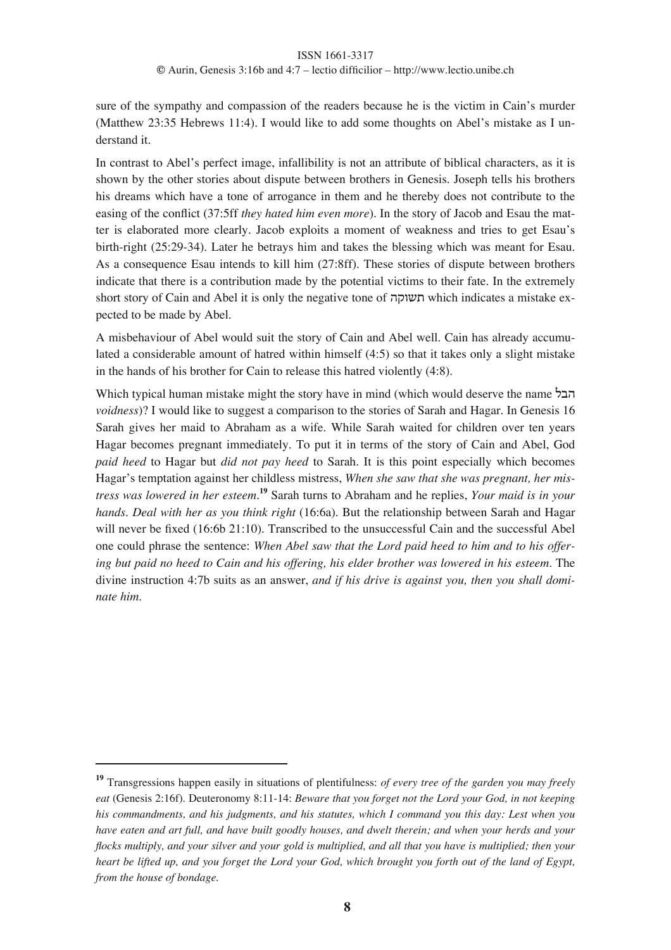sure of the sympathy and compassion of the readers because he is the victim in Cain's murder (Matthew 23:35 Hebrews 11:4). I would like to add some thoughts on Abel's mistake as I understand it.

In contrast to Abel's perfect image, infallibility is not an attribute of biblical characters, as it is shown by the other stories about dispute between brothers in Genesis. Joseph tells his brothers his dreams which have a tone of arrogance in them and he thereby does not contribute to the easing of the conflict (37:5ff *they hated him even more*). In the story of Jacob and Esau the matter is elaborated more clearly. Jacob exploits a moment of weakness and tries to get Esau's birth-right (25:29-34). Later he betrays him and takes the blessing which was meant for Esau. As a consequence Esau intends to kill him (27:8ff). These stories of dispute between brothers indicate that there is a contribution made by the potential victims to their fate. In the extremely short story of Cain and Abel it is only the negative tone of תשוקה which indicates a mistake expected to be made by Abel.

A misbehaviour of Abel would suit the story of Cain and Abel well. Cain has already accumulated a considerable amount of hatred within himself (4:5) so that it takes only a slight mistake in the hands of his brother for Cain to release this hatred violently (4:8).

Which typical human mistake might the story have in mind (which would deserve the name הבל *voidness*)? I would like to suggest a comparison to the stories of Sarah and Hagar. In Genesis 16 Sarah gives her maid to Abraham as a wife. While Sarah waited for children over ten years Hagar becomes pregnant immediately. To put it in terms of the story of Cain and Abel, God *paid heed* to Hagar but *did not pay heed* to Sarah. It is this point especially which becomes Hagar's temptation against her childless mistress, *When she saw that she was pregnant, her mistress was lowered in her esteem*. **<sup>19</sup>** Sarah turns to Abraham and he replies, *Your maid is in your hands. Deal with her as you think right* (16:6a). But the relationship between Sarah and Hagar will never be fixed (16:6b 21:10). Transcribed to the unsuccessful Cain and the successful Abel one could phrase the sentence: *When Abel saw that the Lord paid heed to him and to his offering but paid no heed to Cain and his offering, his elder brother was lowered in his esteem*. The divine instruction 4:7b suits as an answer, *and if his drive is against you, then you shall dominate him.*

**<sup>19</sup>** Transgressions happen easily in situations of plentifulness: *of every tree of the garden you may freely eat* (Genesis 2:16f). Deuteronomy 8:11-14: *Beware that you forget not the Lord your God, in not keeping his commandments, and his judgments, and his statutes, which I command you this day: Lest when you* have eaten and art full, and have built goodly houses, and dwelt therein; and when your herds and your flocks multiply, and your silver and your gold is multiplied, and all that you have is multiplied; then your heart be lifted up, and you forget the Lord your God, which brought you forth out of the land of Egypt, *from the house of bondage.*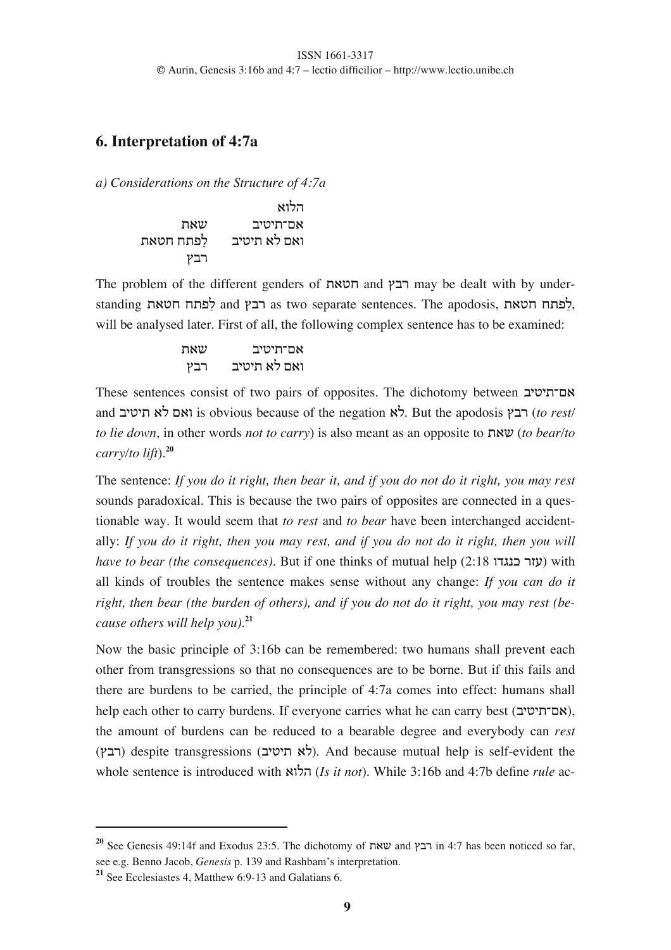## **6. Interpretation of 4:7a**

*a) Considerations on the Structure of 4:7a*

|           | הלוא         |
|-----------|--------------|
| שאת       | אם־תיטיב     |
| לפתח חטאת | ואם לא תיטיב |
| רבץ       |              |

The problem of the different genders of  $m$ הבץ and רבץ may be dealt with by understanding לפתח הטאת and .) and הבץ as two separate sentences. The apodosis, לפתח will be analysed later. First of all, the following complex sentence has to be examined:

%,\$ )131%24, .)/ )131% ,& 4,#

These sentences consist of two pairs of opposites. The dichotomy between  $\boldsymbol{\mathsf{x}}$ אם־תיטיב and ואם לא תיטיב) is obvious because of the negation  $\lambda$ . But the apodosis  $\tau$ רבץ *(to rest/ to lie down*, in other words *not to carry*) is also meant as an opposite to *xwv* (*to bear/to carry/to lift*).**<sup>20</sup>**

The sentence: *If you do it right, then bear it, and if you do not do it right, you may rest* sounds paradoxical. This is because the two pairs of opposites are connected in a questionable way. It would seem that *to rest* and *to bear* have been interchanged accidentally: If you do it right, then you may rest, and if you do not do it right, then you will *have to bear (the consequences)*. But if one thinks of mutual help (2:18  $(i!)$  with all kinds of troubles the sentence makes sense without any change: *If you can do it right, then bear (the burden of others), and if you do not do it right, you may rest (because others will help you).***<sup>21</sup>**

Now the basic principle of 3:16b can be remembered: two humans shall prevent each other from transgressions so that no consequences are to be borne. But if this fails and there are burdens to be carried, the principle of 4:7a comes into effect: humans shall help each other to carry burdens. If everyone carries what he can carry best (אם־תיטיב), the amount of burdens can be reduced to a bearable degree and everybody can *rest*  $(1,1)$ ) despite transgressions (לא תיטיב). And because mutual help is self-evident the whole sentence is introduced with ,#&! (*Is it not*). While 3:16b and 4:7b define *rule* ac-

<sup>&</sup>lt;sup>20</sup> See Genesis 49:14f and Exodus 23:5. The dichotomy of שאת and  $\mu$  in 4:7 has been noticed so far, see e.g. Benno Jacob, *Genesis* p. 139 and Rashbam's interpretation.

**<sup>21</sup>** See Ecclesiastes 4, Matthew 6:9-13 and Galatians 6.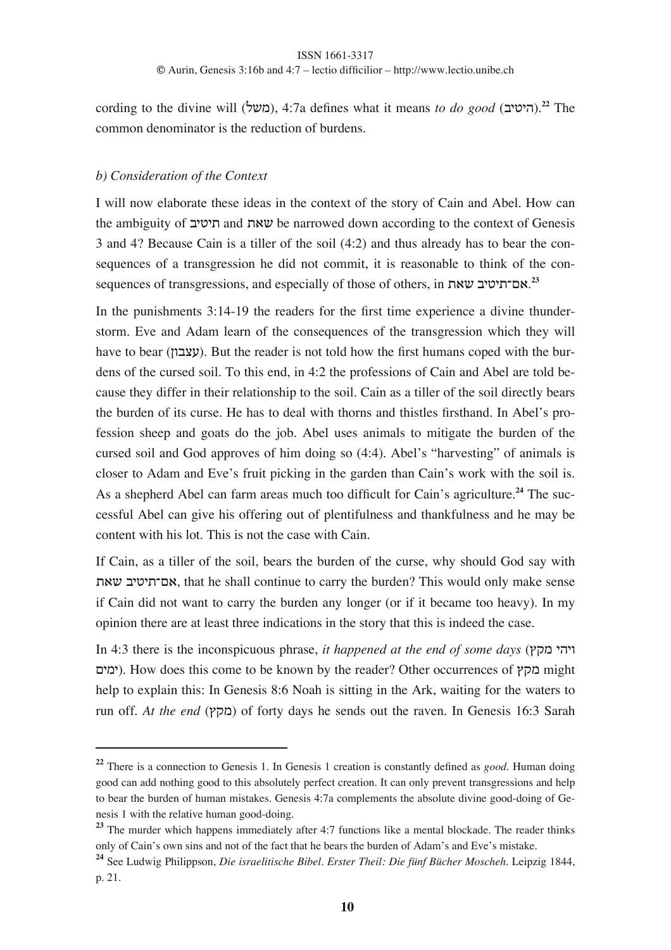cording to the divine will (משל), 4:7a defines what it means *to do good* (היטיב).<sup>22</sup> The common denominator is the reduction of burdens.

### *b) Consideration of the Context*

I will now elaborate these ideas in the context of the story of Cain and Abel. How can the ambiguity of שאת and שאת be narrowed down according to the context of Genesis 3 and 4? Because Cain is a tiller of the soil (4:2) and thus already has to bear the consequences of a transgression he did not commit, it is reasonable to think of the consequences of transgressions, and especially of those of others, in **אם־תיטיב שאת**.<sup>23</sup>

In the punishments 3:14-19 the readers for the first time experience a divine thunderstorm. Eve and Adam learn of the consequences of the transgression which they will have to bear (עצבון). But the reader is not told how the first humans coped with the burdens of the cursed soil. To this end, in 4:2 the professions of Cain and Abel are told because they differ in their relationship to the soil. Cain as a tiller of the soil directly bears the burden of its curse. He has to deal with thorns and thistles firsthand. In Abel's profession sheep and goats do the job. Abel uses animals to mitigate the burden of the cursed soil and God approves of him doing so (4:4). Abel's "harvesting" of animals is closer to Adam and Eve's fruit picking in the garden than Cain's work with the soil is. As a shepherd Abel can farm areas much too difficult for Cain's agriculture.**<sup>24</sup>** The successful Abel can give his offering out of plentifulness and thankfulness and he may be content with his lot. This is not the case with Cain.

If Cain, as a tiller of the soil, bears the burden of the curse, why should God say with %,\$ )131%24,, that he shall continue to carry the burden? This would only make sense if Cain did not want to carry the burden any longer (or if it became too heavy). In my opinion there are at least three indications in the story that this is indeed the case.

 $\overline{\text{In 4:3}}$  there is the inconspicuous phrase, *it happened at the end of some days* ( $\overline{\text{In 4:3}}$  **1** ימים). How does this come to be known by the reader? Other occurrences of  $\gamma$  might help to explain this: In Genesis 8:6 Noah is sitting in the Ark, waiting for the waters to run off. *At the end* (מקץ) of forty days he sends out the raven. In Genesis 16:3 Sarah

**<sup>22</sup>** There is a connection to Genesis 1. In Genesis 1 creation is constantly defined as *good*. Human doing good can add nothing good to this absolutely perfect creation. It can only prevent transgressions and help to bear the burden of human mistakes. Genesis 4:7a complements the absolute divine good-doing of Genesis 1 with the relative human good-doing.

**<sup>23</sup>** The murder which happens immediately after 4:7 functions like a mental blockade. The reader thinks only of Cain's own sins and not of the fact that he bears the burden of Adam's and Eve's mistake.

**<sup>24</sup>** See Ludwig Philippson, *Die israelitische Bibel. Erster Theil: Die fünf Bücher Moscheh*. Leipzig 1844, p. 21.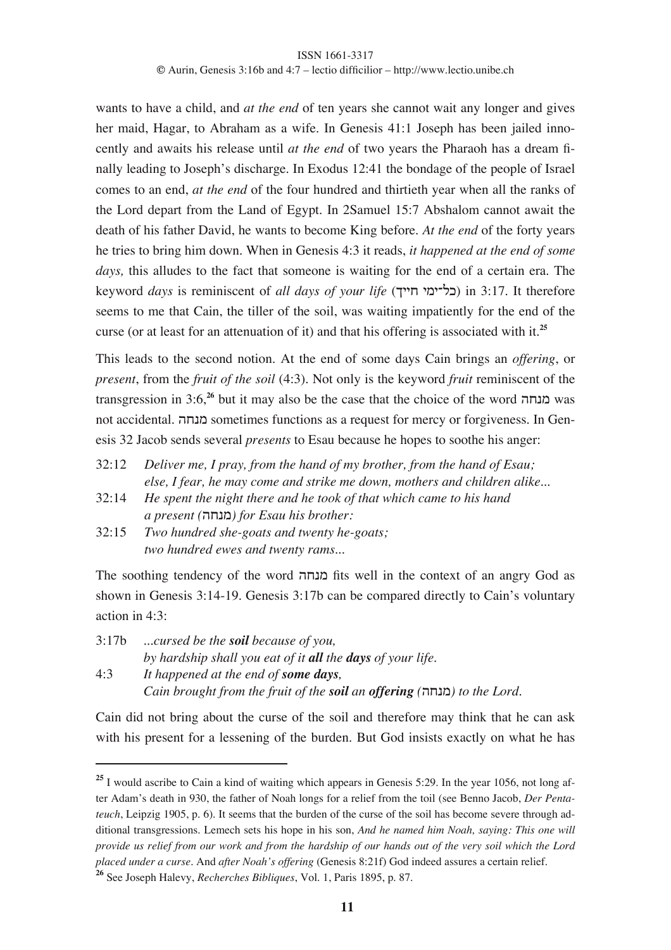wants to have a child, and *at the end* of ten years she cannot wait any longer and gives her maid, Hagar, to Abraham as a wife. In Genesis 41:1 Joseph has been jailed innocently and awaits his release until *at the end* of two years the Pharaoh has a dream finally leading to Joseph's discharge. In Exodus 12:41 the bondage of the people of Israel comes to an end, *at the end* of the four hundred and thirtieth year when all the ranks of the Lord depart from the Land of Egypt. In 2Samuel 15:7 Abshalom cannot await the death of his father David, he wants to become King before. *At the end* of the forty years he tries to bring him down. When in Genesis 4:3 it reads, *it happened at the end of some days,* this alludes to the fact that someone is waiting for the end of a certain era. The keyword *days* is reminiscent of *all days of your life* (0115 1'12&8) in 3:17. It therefore seems to me that Cain, the tiller of the soil, was waiting impatiently for the end of the curse (or at least for an attenuation of it) and that his offering is associated with it.**<sup>25</sup>**

This leads to the second notion. At the end of some days Cain brings an *offering*, or *present*, from the *fruit of the soil* (4:3). Not only is the keyword *fruit* reminiscent of the transgression in 3:6,<sup>26</sup> but it may also be the case that the choice of the word **מנחה** was not accidental. מנחה sometimes functions as a request for mercy or forgiveness. In Genesis 32 Jacob sends several *presents* to Esau because he hopes to soothe his anger:

- 32:12 *Deliver me, I pray, from the hand of my brother, from the hand of Esau; else, I fear, he may come and strike me down, mothers and children alike*...
- 32:14 *He spent the night there and he took of that which came to his hand a present (*!5-'*) for Esau his brother:*
- 32:15 *Two hundred she-goats and twenty he-goats; two hundred ewes and twenty rams...*

The soothing tendency of the word מנחה fits well in the context of an angry God as shown in Genesis 3:14-19. Genesis 3:17b can be compared directly to Cain's voluntary action in 4:3:

3:17b *...cursed be the soil because of you, by hardship shall you eat of it all the days of your life.*

4:3 *It happened at the end of some days, Cain brought from the fruit of the soil an offering (*!5-'*) to the Lord.*

Cain did not bring about the curse of the soil and therefore may think that he can ask with his present for a lessening of the burden. But God insists exactly on what he has

<sup>&</sup>lt;sup>25</sup> I would ascribe to Cain a kind of waiting which appears in Genesis 5:29. In the year 1056, not long after Adam's death in 930, the father of Noah longs for a relief from the toil (see Benno Jacob, *Der Pentateuch*, Leipzig 1905, p. 6). It seems that the burden of the curse of the soil has become severe through additional transgressions. Lemech sets his hope in his son, *And he named him Noah, saying: This one will* provide us relief from our work and from the hardship of our hands out of the very soil which the Lord *placed under a curse.* And *after Noah's offering* (Genesis 8:21f) God indeed assures a certain relief.

**<sup>26</sup>** See Joseph Halevy, *Recherches Bibliques*, Vol. 1, Paris 1895, p. 87.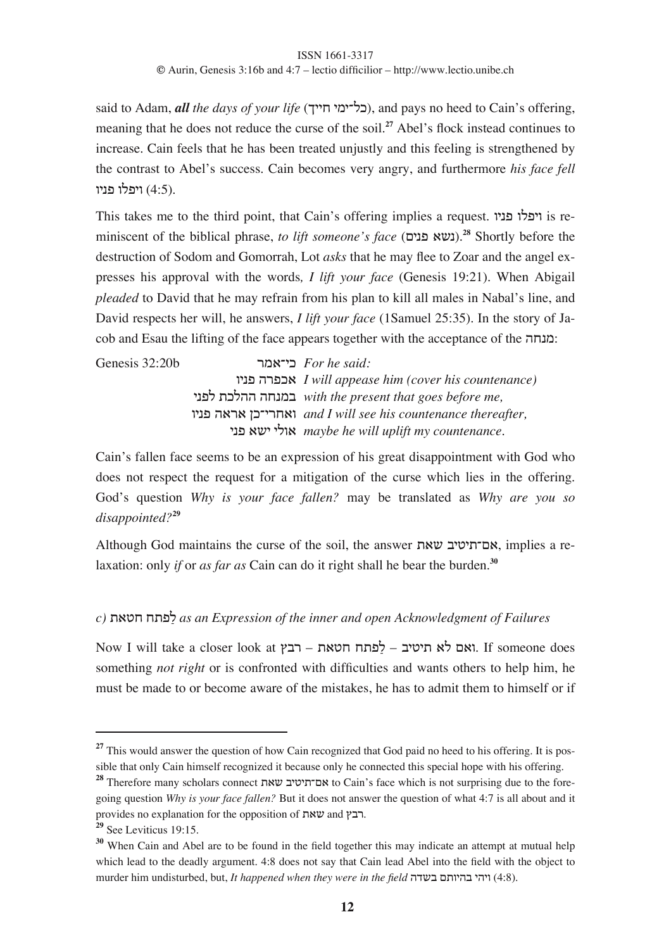said to Adam, *all the days of your life* (כל־ימי חייך), and pays no heed to Cain's offering, meaning that he does not reduce the curse of the soil.**<sup>27</sup>** Abel's flock instead continues to increase. Cain feels that he has been treated unjustly and this feeling is strengthened by the contrast to Abel's success. Cain becomes very angry, and furthermore *his face fell* ויפלו פניו  $(4:5)$ .

This takes me to the third point, that Cain's offering implies a request.  $\alpha$ is reminiscent of the biblical phrase, *to lift someone's face* (41-6 ,\$-).**<sup>28</sup>** Shortly before the destruction of Sodom and Gomorrah, Lot *asks* that he may flee to Zoar and the angel expresses his approval with the words*, I lift your face* (Genesis 19:21). When Abigail *pleaded* to David that he may refrain from his plan to kill all males in Nabal's line, and David respects her will, he answers, *I lift your face* (1Samuel 25:35). In the story of Jacob and Esau the lifting of the face appears together with the acceptance of the : $\alpha$ נחה

Genesis 32:20b /',218 *For he said:* #1-6 !/68, *I will appease him (cover his countenance)* 1-6& %8&!! !5-') *with the present that goes before me,* #1-6 !,/, (821/5,# *and I will see his countenance thereafter,* 1-6 ,\$1 1&#, *maybe he will uplift my countenance.*

Cain's fallen face seems to be an expression of his great disappointment with God who does not respect the request for a mitigation of the curse which lies in the offering. God's question *Why is your face fallen?* may be translated as *Why are you so disappointed?***<sup>29</sup>**

Although God maintains the curse of the soil, the answer אם־תיטיב שאת laxation: only *if* or *as far as* Cain can do it right shall he bear the burden.**<sup>30</sup>**

## *c)* %,35 5%6&7 *as an Expression of the inner and open Acknowledgment of Failures*

 $N$ ואם לא תיטיב – לפתח חטאת – רבץ Now I will take a closer look at .). If someone does something *not right* or is confronted with difficulties and wants others to help him, he must be made to or become aware of the mistakes, he has to admit them to himself or if

<sup>&</sup>lt;sup>27</sup> This would answer the question of how Cain recognized that God paid no heed to his offering. It is possible that only Cain himself recognized it because only he connected this special hope with his offering.

<sup>&</sup>lt;sup>28</sup> Therefore many scholars connect אם־תיטיב שאת to Cain's face which is not surprising due to the foregoing question *Why is your face fallen?* But it does not answer the question of what 4:7 is all about and it provides no explanation for the opposition of  $x$  and  $y$ .

**<sup>29</sup>** See Leviticus 19:15.

**<sup>30</sup>** When Cain and Abel are to be found in the field together this may indicate an attempt at mutual help which lead to the deadly argument. 4:8 does not say that Cain lead Abel into the field with the object to murder him undisturbed, but, *It happened when they were in the field* בשדה בשדה (4:8).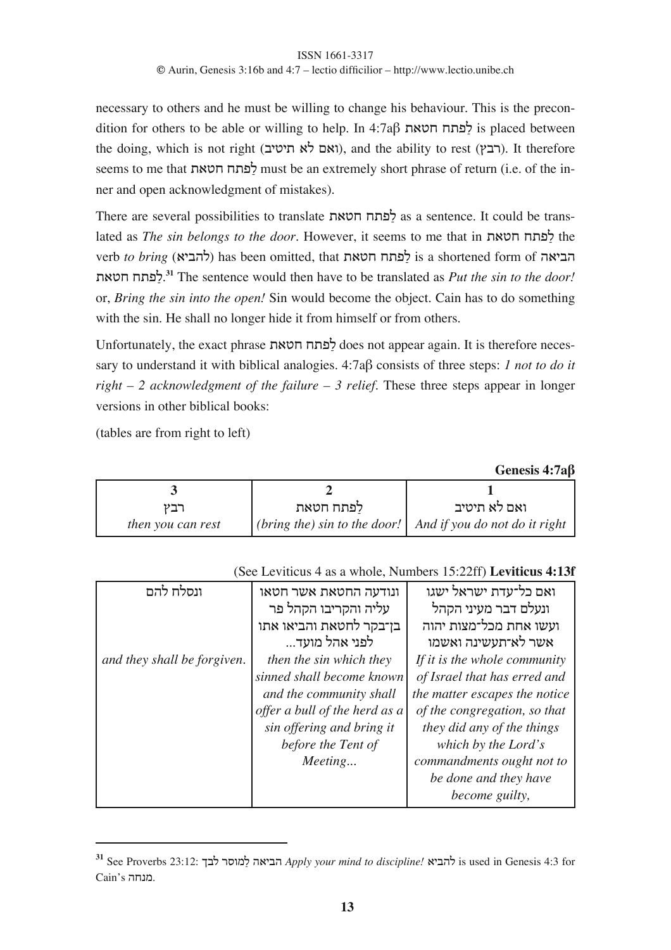necessary to others and he must be willing to change his behaviour. This is the precon- $\alpha$ dition for others to be able or willing to help. In 4:7a  $\beta$  המתח חטאת is placed between the doing, which is not right (ואם לא תיטיב), and the ability to rest (רבץ). It therefore seems to me that לפתח חטאת must be an extremely short phrase of return (i.e. of the inner and open acknowledgment of mistakes).

There are several possibilities to translate לפתח חטאת as a sentence. It could be translated as *The sin belongs to the door*. However, it seems to me that in %,35 5%6&7 the verb *to bring* (להביא) has been omitted, that לפתח חטאת %,35 5%6&7. **<sup>31</sup>** The sentence would then have to be translated as *Put the sin to the door!* or, *Bring the sin into the open!* Sin would become the object. Cain has to do something with the sin. He shall no longer hide it from himself or from others.

Unfortunately, the exact phrase לפתח חטאת does not appear again. It is therefore necessary to understand it with biblical analogies. 4:7a<sub>p</sub> consists of three steps: *1 not to do it right – 2 acknowledgment of the failure – 3 relief*. These three steps appear in longer versions in other biblical books:

(tables are from right to left)

**Genesis 4:7a!**

|                          | לפתח חטאת | ואם לא תיטיב                                                 |
|--------------------------|-----------|--------------------------------------------------------------|
| <i>then you can rest</i> |           | (bring the) sin to the door!   And if you do not do it right |

### (See Leviticus 4 as a whole, Numbers 15:22ff) **Leviticus 4:13f**

| ונסלח להם                   | ונודעה החטאת אשר חטאו<br>עליה והקריבו הקהל פר<br>בן־בקר לחטאת והביאו אתו                                                                                                       | ואם כל־עדת ישראל ישגו<br>ונעלם דבר מעיני הקהל<br>ועשו אחת מכל־מצות יהוה                                                                                                                                                                                           |
|-----------------------------|--------------------------------------------------------------------------------------------------------------------------------------------------------------------------------|-------------------------------------------------------------------------------------------------------------------------------------------------------------------------------------------------------------------------------------------------------------------|
|                             | לפני אהל מועד                                                                                                                                                                  | אשר לא־תעשינה ואשמו                                                                                                                                                                                                                                               |
| and they shall be forgiven. | then the sin which they<br>sinned shall become known<br>and the community shall<br>offer a bull of the herd as a<br>sin offering and bring it<br>before the Tent of<br>Meeting | If it is the whole community<br>of Israel that has erred and<br>the matter escapes the notice<br>of the congregation, so that<br>they did any of the things<br>which by the Lord's<br>commandments ought not to<br>be done and they have<br><i>become guilty,</i> |

**<sup>31</sup>** See Proverbs 23:12: 0)& /<#'&7 !,1)! *Apply your mind to discipline!* ,1)!& is used in Genesis 4:3 for Cain's .מנחה.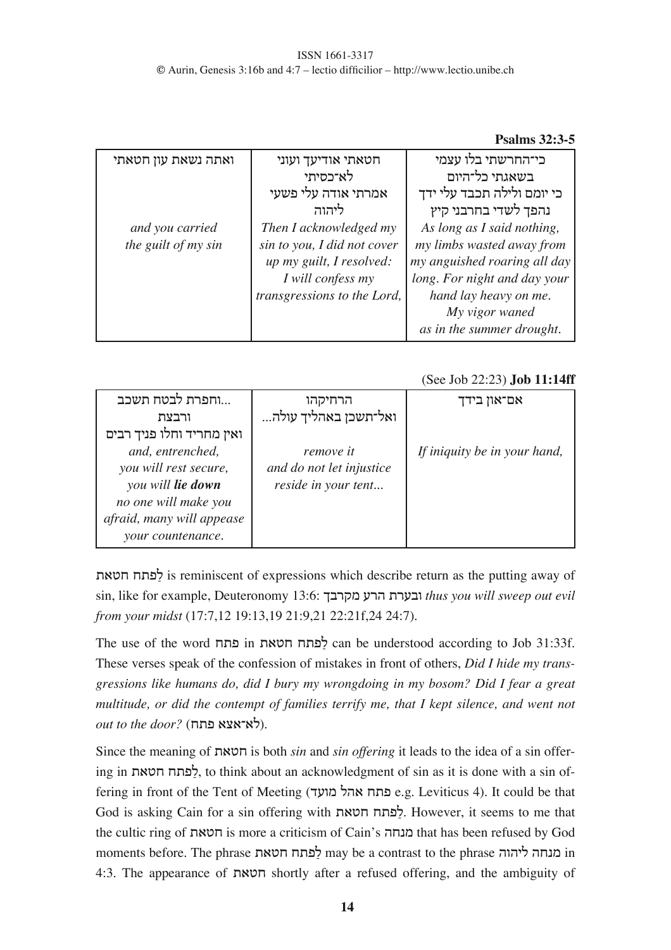### **Psalms 32:3-5**

| ואתה נשאת עון חטאתי | חטאתי אודיעך ועוני                                                           | כי־החרשתי בלו עצמי                                                                        |
|---------------------|------------------------------------------------------------------------------|-------------------------------------------------------------------------------------------|
|                     | לא־כסיתי                                                                     | בשאגתי כל־היום                                                                            |
|                     | אמרתי אודה עלי פשעי                                                          | כי יומם ולילה תכבד עלי ידך                                                                |
|                     | ליהוה                                                                        | נהפך לשדי בחרבני קיץ                                                                      |
| and you carried     | Then I acknowledged my                                                       | As long as I said nothing,                                                                |
| the guilt of my sin | sin to you, I did not cover<br>up my guilt, I resolved:<br>I will confess my | my limbs wasted away from<br>my anguished roaring all day<br>long. For night and day your |
|                     | transgressions to the Lord,                                                  | hand lay heavy on me.                                                                     |
|                     |                                                                              | My vigor waned                                                                            |
|                     |                                                                              | as in the summer drought.                                                                 |

### (See Job 22:23) **Job 11:14ff**

| וחפרת לבטח תשכב           | הרחיקהו                  | אם־און בידך                  |
|---------------------------|--------------------------|------------------------------|
| ורבצת                     | ואל־תשכן באהליך עולה     |                              |
| ואין מחריד וחלו פניך רבים |                          |                              |
| and, entrenched,          | remove it                | If iniquity be in your hand, |
| you will rest secure,     | and do not let injustice |                              |
| you will lie down         | reside in your tent      |                              |
| no one will make you      |                          |                              |
| afraid, many will appease |                          |                              |
| your countenance.         |                          |                              |

%,35 5%6&7 is reminiscent of expressions which describe return as the putting away of sin, like for example, Deuteronomy 13:6: 0)/"' +/! %/+)# *thus you will sweep out evil from your midst* (17:7,12 19:13,19 21:9,21 22:21f,24 24:7).

The use of the word 5%6 in %,35 5%6&7 can be understood according to Job 31:33f. These verses speak of the confession of mistakes in front of others, *Did I hide my transgressions like humans do, did I bury my wrongdoing in my bosom? Did I fear a great multitude, or did the contempt of families terrify me, that I kept silence, and went not out to the door?* (האיאצא פתח).

Since the meaning of %,35 is both *sin* and *sin offering* it leads to the idea of a sin offering in לפתח חטאת), to think about an acknowledgment of sin as it is done with a sin offering in front of the Tent of Meeting (פתח אהל מועד e.g. Leviticus 4). It could be that God is asking Cain for a sin offering with לפתח חטאת, However, it seems to me that the cultic ring of %,35 is more a criticism of Cain's !5-' that has been refused by God moments before. The phrase המנחה ליהוה may be a contrast to the phrase ומנחה ליהוה 4:3. The appearance of  $m$ את shortly after a refused offering, and the ambiguity of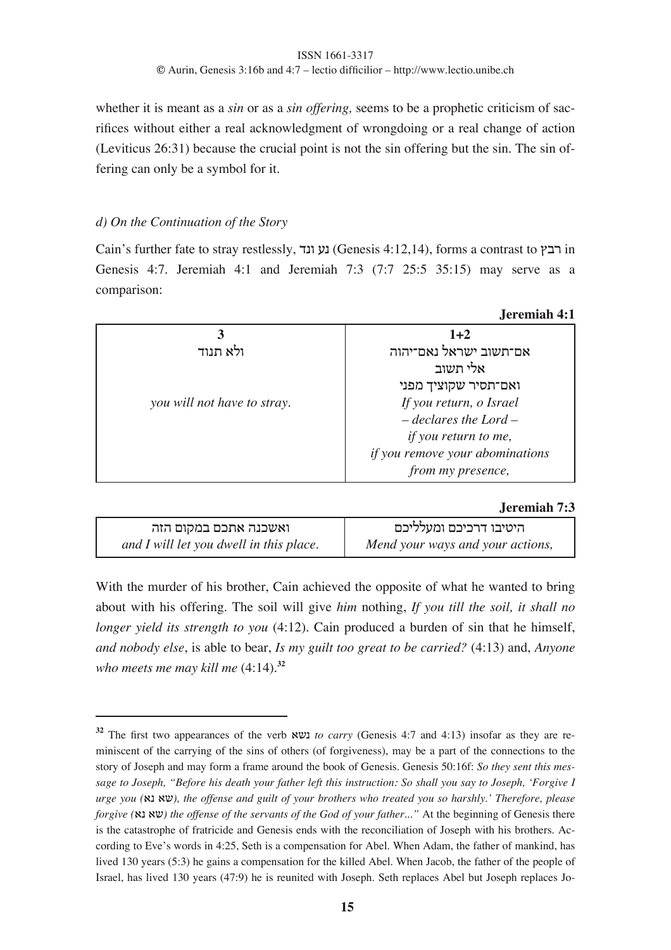#### ISSN 1661-3317

**©** Aurin, Genesis 3:16b and 4:7 – lectio difficilior – http://www.lectio.unibe.ch

whether it is meant as a *sin* or as a *sin offering,* seems to be a prophetic criticism of sacrifices without either a real acknowledgment of wrongdoing or a real change of action (Leviticus 26:31) because the crucial point is not the sin offering but the sin. The sin offering can only be a symbol for it.

### *d) On the Continuation of the Story*

Cain's further fate to stray restlessly, נע ונד (Genesis 4:12,14), forms a contrast to רבץ in Genesis 4:7. Jeremiah 4:1 and Jeremiah 7:3 (7:7 25:5 35:15) may serve as a comparison:

|                             | легениан та                     |
|-----------------------------|---------------------------------|
|                             | $1 + 2$                         |
| ולא תנוד                    | אם־תשוב ישראל נאם־יהוה          |
|                             | אלי תשוב                        |
|                             | ואם־תסיר שקוציך מפני            |
| you will not have to stray. | If you return, o Israel         |
|                             | $-\,declares$ the Lord $-\,$    |
|                             | <i>if you return to me,</i>     |
|                             | if you remove your abominations |
|                             | from my presence,               |
|                             |                                 |

#### **Jeremiah 7:3**

**Jeremiah 4:1**

| ואשכנה אתכם במקום הזה                   | היטיבו דרכיכם ומעלליכם           |
|-----------------------------------------|----------------------------------|
| and I will let you dwell in this place. | Mend your ways and your actions, |

With the murder of his brother, Cain achieved the opposite of what he wanted to bring about with his offering. The soil will give *him* nothing, *If you till the soil, it shall no longer yield its strength to you* (4:12). Cain produced a burden of sin that he himself, *and nobody else*, is able to bear, *Is my guilt too great to be carried?* (4:13) and, *Anyone who meets me may kill me* (4:14).**<sup>32</sup>**

**<sup>32</sup>** The first two appearances of the verb ,\$- *to carry* (Genesis 4:7 and 4:13) insofar as they are reminiscent of the carrying of the sins of others (of forgiveness), may be a part of the connections to the story of Joseph and may form a frame around the book of Genesis. Genesis 50:16f: *So they sent this mes*sage to Joseph, "Before his death your father left this instruction: So shall you say to Joseph, 'Forgive I urge you (אַ א גאָ), the offense and guilt of your brothers who treated you so harshly.' Therefore, please *forgive (*,- ,\$*) the offense of the servants of the God of your father..."* At the beginning of Genesis there is the catastrophe of fratricide and Genesis ends with the reconciliation of Joseph with his brothers. According to Eve's words in 4:25, Seth is a compensation for Abel. When Adam, the father of mankind, has lived 130 years (5:3) he gains a compensation for the killed Abel. When Jacob, the father of the people of Israel, has lived 130 years (47:9) he is reunited with Joseph. Seth replaces Abel but Joseph replaces Jo-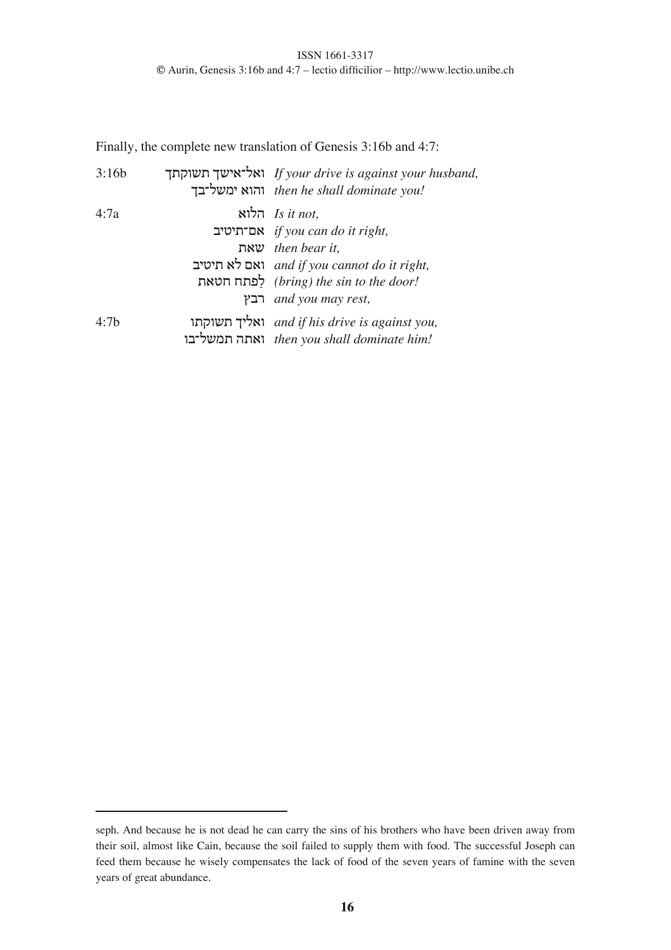Finally, the complete new translation of Genesis 3:16b and 4:7:

| 3:16b | ואל־אישך תשוקתך If your drive is against your husband,<br>then he shall dominate you! והוא ימשל־בך |
|-------|----------------------------------------------------------------------------------------------------|
| 4:7a  | הלוא Is it not,                                                                                    |
|       | אם־תיטיב if you can do it right,                                                                   |
|       | then bear it,                                                                                      |
|       | ואם לא תיטיב and if you cannot do it right,                                                        |
|       | (bring) the sin to the door! לפתח חטאת                                                             |
|       | <i>rest</i> , <i>and you may rest</i> ,                                                            |
| 4:7b  | ואליך תשוקתו and if his drive is against you,                                                      |
|       | then you shall dominate him! ואתה תמשל־בו                                                          |

seph. And because he is not dead he can carry the sins of his brothers who have been driven away from their soil, almost like Cain, because the soil failed to supply them with food. The successful Joseph can feed them because he wisely compensates the lack of food of the seven years of famine with the seven years of great abundance.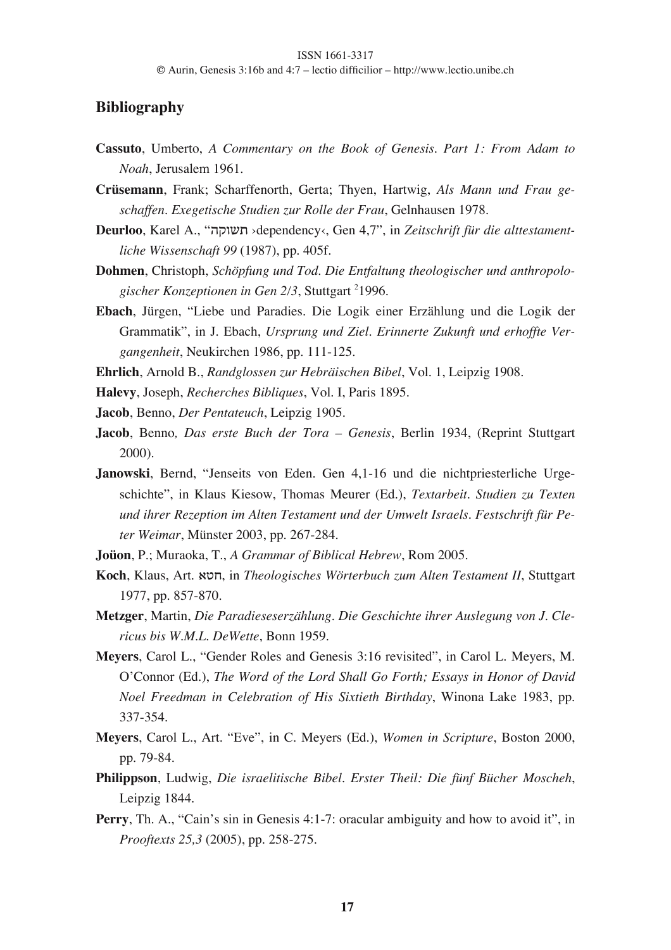## **Bibliography**

- **Cassuto**, Umberto, *A Commentary on the Book of Genesis. Part 1: From Adam to Noah*, Jerusalem 1961.
- **Crüsemann**, Frank; Scharffenorth, Gerta; Thyen, Hartwig, *Als Mann und Frau geschaffen. Exegetische Studien zur Rolle der Frau*, Gelnhausen 1978.
- **Deurloo**, Karel A., "!"#\$% ›dependency‹, Gen 4,7", in *Zeitschrift für die alttestamentliche Wissenschaft 99* (1987), pp. 405f.
- **Dohmen**, Christoph, *Schöpfung und Tod. Die Entfaltung theologischer und anthropolo*gischer Konzeptionen in Gen 2/3, Stuttgart <sup>2</sup>1996.
- **Ebach**, Jürgen, "Liebe und Paradies. Die Logik einer Erzählung und die Logik der Grammatik", in J. Ebach, *Ursprung und Ziel. Erinnerte Zukunft und erhoffte Vergangenheit*, Neukirchen 1986, pp. 111-125.
- **Ehrlich**, Arnold B., *Randglossen zur Hebräischen Bibel*, Vol. 1, Leipzig 1908.
- **Halevy**, Joseph, *Recherches Bibliques*, Vol. I, Paris 1895.
- **Jacob**, Benno, *Der Pentateuch*, Leipzig 1905.
- **Jacob**, Benno*, Das erste Buch der Tora – Genesis*, Berlin 1934, (Reprint Stuttgart 2000).
- **Janowski**, Bernd, "Jenseits von Eden. Gen 4,1-16 und die nichtpriesterliche Urgeschichte", in Klaus Kiesow, Thomas Meurer (Ed.), *Textarbeit. Studien zu Texten und ihrer Rezeption im Alten Testament und der Umwelt Israels. Festschrift für Peter Weimar*, Münster 2003, pp. 267-284.
- **Joüon**, P.; Muraoka, T., *A Grammar of Biblical Hebrew*, Rom 2005.
- **Koch**, Klaus, Art. ,35, in *Theologisches Wörterbuch zum Alten Testament II*, Stuttgart 1977, pp. 857-870.
- **Metzger**, Martin, *Die Paradieseserzählung. Die Geschichte ihrer Auslegung von J. Clericus bis W.M.L. DeWette*, Bonn 1959.
- **Meyers**, Carol L., "Gender Roles and Genesis 3:16 revisited", in Carol L. Meyers, M. O'Connor (Ed.), *The Word of the Lord Shall Go Forth; Essays in Honor of David Noel Freedman in Celebration of His Sixtieth Birthday*, Winona Lake 1983, pp. 337-354.
- **Meyers**, Carol L., Art. "Eve", in C. Meyers (Ed.), *Women in Scripture*, Boston 2000, pp. 79-84.
- **Philippson**, Ludwig, *Die israelitische Bibel. Erster Theil: Die fünf Bücher Moscheh*, Leipzig 1844.
- **Perry**, Th. A., "Cain's sin in Genesis 4:1-7: oracular ambiguity and how to avoid it", in *Prooftexts 25,3* (2005), pp. 258-275.